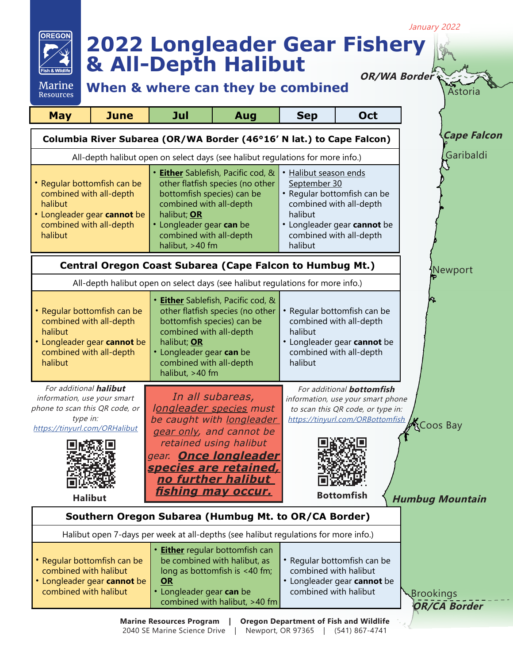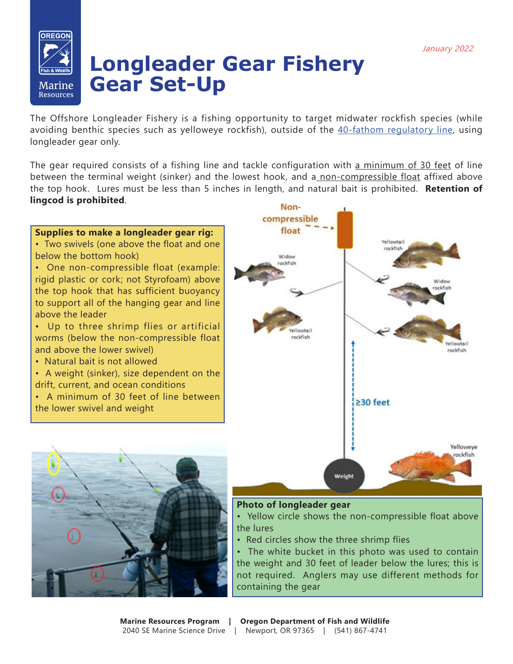## OREGOL Marine Resources

## **Longleader Gear Fishery Gear Set-Up**

The Offshore Longleader Fishery is a fishing opportunity to target midwater rockfish species (while avoiding benthic species such as yelloweye rockfish), outside of the [40-fathom regulatory line,](https://myodfw.com/sites/default/files/2017-10/40%20Fathom%20Waypoints.pdf) using longleader gear only.

The gear required consists of a fishing line and tackle configuration with a minimum of 30 feet of line between the terminal weight (sinker) and the lowest hook, and a non-compressible float affixed above the top hook. Lures must be less than 5 inches in length, and natural bait is prohibited. **Retention of lingcod is prohibited**.





• Yellow circle shows the non-compressible float above the lures

• Red circles show the three shrimp flies

• The white bucket in this photo was used to contain the weight and 30 feet of leader below the lures; this is not required. Anglers may use different methods for containing the gear